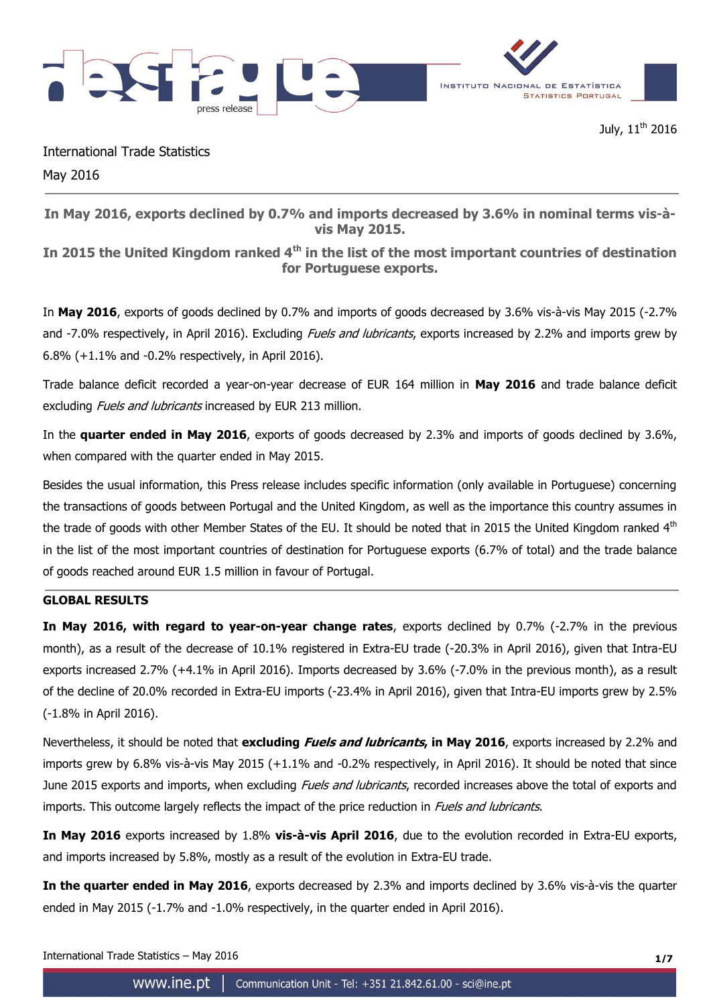

July, 11<sup>th</sup> 2016

International Trade Statistics May 2016

**In May 2016, exports declined by 0.7% and imports decreased by 3.6% in nominal terms vis-àvis May 2015.**

**In 2015 the United Kingdom ranked 4th in the list of the most important countries of destination for Portuguese exports.**

In **May 2016**, exports of goods declined by 0.7% and imports of goods decreased by 3.6% vis-à-vis May 2015 (-2.7% and -7.0% respectively, in April 2016). Excluding *Fuels and lubricants*, exports increased by 2.2% and imports grew by 6.8% (+1.1% and -0.2% respectively, in April 2016).

Trade balance deficit recorded a year-on-year decrease of EUR 164 million in **May 2016** and trade balance deficit excluding *Fuels and lubricants* increased by EUR 213 million.

In the **quarter ended in May 2016**, exports of goods decreased by 2.3% and imports of goods declined by 3.6%, when compared with the quarter ended in May 2015.

Besides the usual information, this Press release includes specific information (only available in Portuguese) concerning the transactions of goods between Portugal and the United Kingdom, as well as the importance this country assumes in the trade of goods with other Member States of the EU. It should be noted that in 2015 the United Kingdom ranked 4<sup>th</sup> in the list of the most important countries of destination for Portuguese exports (6.7% of total) and the trade balance of goods reached around EUR 1.5 million in favour of Portugal.

# **GLOBAL RESULTS**

**In May 2016, with regard to year-on-year change rates**, exports declined by 0.7% (-2.7% in the previous month), as a result of the decrease of 10.1% registered in Extra-EU trade (-20.3% in April 2016), given that Intra-EU exports increased 2.7% (+4.1% in April 2016). Imports decreased by 3.6% (-7.0% in the previous month), as a result of the decline of 20.0% recorded in Extra-EU imports (-23.4% in April 2016), given that Intra-EU imports grew by 2.5% (-1.8% in April 2016).

Nevertheless, it should be noted that **excluding Fuels and lubricants, in May 2016**, exports increased by 2.2% and imports grew by 6.8% vis-à-vis May 2015 (+1.1% and -0.2% respectively, in April 2016). It should be noted that since June 2015 exports and imports, when excluding Fuels and lubricants, recorded increases above the total of exports and imports. This outcome largely reflects the impact of the price reduction in Fuels and lubricants.

**In May 2016** exports increased by 1.8% **vis-à-vis April 2016**, due to the evolution recorded in Extra-EU exports, and imports increased by 5.8%, mostly as a result of the evolution in Extra-EU trade.

**In the quarter ended in May 2016**, exports decreased by 2.3% and imports declined by 3.6% vis-à-vis the quarter ended in May 2015 (-1.7% and -1.0% respectively, in the quarter ended in April 2016).

International Trade Statistics – May 2016 **1/7**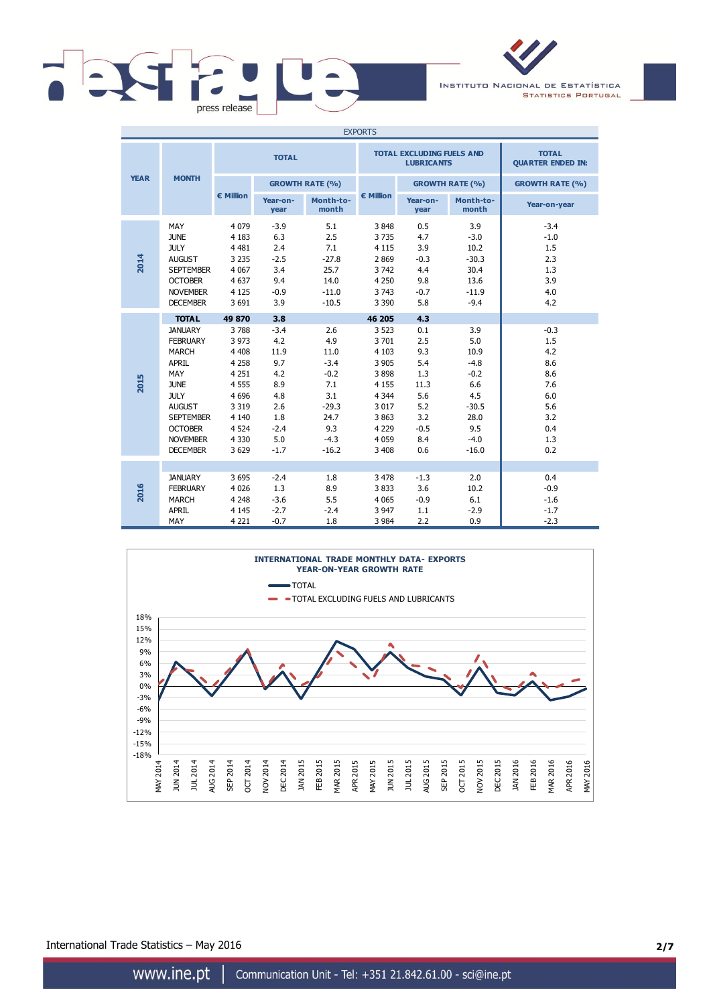

INSTITUTO NACIONAL DE ESTATÍSTICA **STATISTICS PORTUGAL** 

| <b>EXPORTS</b> |                                                                                                                                                                                                              |                                                                                                                                        |                                                                                                   |                                                                                                     |                                                                                                                                    |                                                                                             |                                                                                                     |                                                                                     |  |
|----------------|--------------------------------------------------------------------------------------------------------------------------------------------------------------------------------------------------------------|----------------------------------------------------------------------------------------------------------------------------------------|---------------------------------------------------------------------------------------------------|-----------------------------------------------------------------------------------------------------|------------------------------------------------------------------------------------------------------------------------------------|---------------------------------------------------------------------------------------------|-----------------------------------------------------------------------------------------------------|-------------------------------------------------------------------------------------|--|
|                |                                                                                                                                                                                                              |                                                                                                                                        | <b>TOTAL</b>                                                                                      |                                                                                                     |                                                                                                                                    | <b>TOTAL EXCLUDING FUELS AND</b><br><b>LUBRICANTS</b>                                       | <b>TOTAL</b><br><b>QUARTER ENDED IN:</b>                                                            |                                                                                     |  |
| <b>YEAR</b>    | <b>MONTH</b>                                                                                                                                                                                                 |                                                                                                                                        | <b>GROWTH RATE (%)</b>                                                                            |                                                                                                     |                                                                                                                                    |                                                                                             | <b>GROWTH RATE (%)</b>                                                                              | <b>GROWTH RATE (%)</b>                                                              |  |
|                |                                                                                                                                                                                                              | € Million                                                                                                                              | Year-on-<br>year                                                                                  | Month-to-<br>month                                                                                  | € Million                                                                                                                          | Year-on-<br>year                                                                            | Month-to-<br>month                                                                                  | Year-on-year                                                                        |  |
| 2014           | MAY<br><b>JUNE</b><br><b>JULY</b><br><b>AUGUST</b><br><b>SEPTEMBER</b><br><b>OCTOBER</b><br><b>NOVEMBER</b><br><b>DECEMBER</b>                                                                               | 4 0 7 9<br>4 1 8 3<br>4 4 8 1<br>3 2 3 5<br>4 0 67<br>4 6 3 7<br>4 1 2 5<br>3 6 9 1                                                    | $-3.9$<br>6.3<br>2.4<br>$-2.5$<br>3.4<br>9.4<br>$-0.9$<br>3.9                                     | 5.1<br>2.5<br>7.1<br>$-27.8$<br>25.7<br>14.0<br>$-11.0$<br>$-10.5$                                  | 3848<br>3735<br>4 1 1 5<br>2 8 6 9<br>3742<br>4 2 5 0<br>3 7 4 3<br>3 3 9 0                                                        | 0.5<br>4.7<br>3.9<br>$-0.3$<br>4.4<br>9.8<br>$-0.7$<br>5.8                                  | 3.9<br>$-3.0$<br>10.2<br>$-30.3$<br>30.4<br>13.6<br>$-11.9$<br>$-9.4$                               | $-3.4$<br>$-1.0$<br>1.5<br>2.3<br>1.3<br>3.9<br>4.0<br>4.2                          |  |
| 2015           | <b>TOTAL</b><br><b>JANUARY</b><br><b>FEBRUARY</b><br><b>MARCH</b><br>APRIL<br>MAY<br><b>JUNE</b><br><b>JULY</b><br><b>AUGUST</b><br><b>SEPTEMBER</b><br><b>OCTOBER</b><br><b>NOVEMBER</b><br><b>DECEMBER</b> | 49 870<br>3788<br>3 9 7 3<br>4 4 0 8<br>4 2 5 8<br>4 2 5 1<br>4 5 5 5<br>4 6 9 6<br>3 3 1 9<br>4 1 4 0<br>4 5 24<br>4 3 3 0<br>3 6 2 9 | 3.8<br>$-3.4$<br>4.2<br>11.9<br>9.7<br>4.2<br>8.9<br>4.8<br>2.6<br>1.8<br>$-2.4$<br>5.0<br>$-1.7$ | 2.6<br>4.9<br>11.0<br>$-3.4$<br>$-0.2$<br>7.1<br>3.1<br>$-29.3$<br>24.7<br>9.3<br>$-4.3$<br>$-16.2$ | 46 205<br>3 5 2 3<br>3 701<br>4 1 0 3<br>3 9 0 5<br>3898<br>4 1 5 5<br>4 3 4 4<br>3 0 1 7<br>3863<br>4 2 2 9<br>4 0 5 9<br>3 4 0 8 | 4.3<br>0.1<br>2.5<br>9.3<br>5.4<br>1.3<br>11.3<br>5.6<br>5.2<br>3.2<br>$-0.5$<br>8.4<br>0.6 | 3.9<br>5.0<br>10.9<br>$-4.8$<br>$-0.2$<br>6.6<br>4.5<br>$-30.5$<br>28.0<br>9.5<br>$-4.0$<br>$-16.0$ | $-0.3$<br>1.5<br>4.2<br>8.6<br>8.6<br>7.6<br>6.0<br>5.6<br>3.2<br>0.4<br>1.3<br>0.2 |  |
| 2016           | <b>JANUARY</b><br><b>FEBRUARY</b><br>MARCH<br><b>APRIL</b><br>MAY                                                                                                                                            | 3 6 9 5<br>4 0 2 6<br>4 2 4 8<br>4 1 4 5<br>4 2 2 1                                                                                    | $-2.4$<br>1.3<br>$-3.6$<br>$-2.7$<br>$-0.7$                                                       | 1.8<br>8.9<br>5.5<br>$-2.4$<br>1.8                                                                  | 3 4 7 8<br>3833<br>4 0 6 5<br>3 9 4 7<br>3 9 8 4                                                                                   | $-1.3$<br>3.6<br>$-0.9$<br>1.1<br>2.2                                                       | 2.0<br>10.2<br>6.1<br>$-2.9$<br>0.9                                                                 | 0.4<br>$-0.9$<br>$-1.6$<br>$-1.7$<br>$-2.3$                                         |  |



International Trade Statistics – May 2016 **2/7**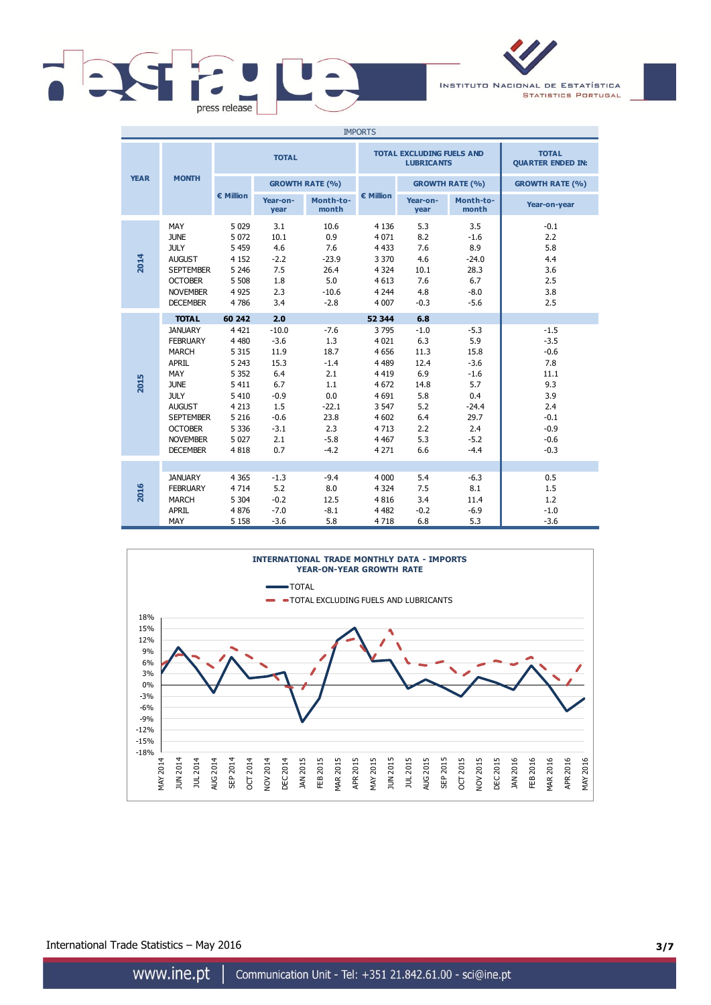

INSTITUTO NACIONAL DE ESTATÍSTICA **STATISTICS PORTUGAL** 

| <b>IMPORTS</b> |                                                                                                                                                                                                                     |                                                                                                                                         |                                                                                                           |                                                                                                    |                                                                                                                                       |                                                                                               |                                                                                                       |                                                                                                        |  |
|----------------|---------------------------------------------------------------------------------------------------------------------------------------------------------------------------------------------------------------------|-----------------------------------------------------------------------------------------------------------------------------------------|-----------------------------------------------------------------------------------------------------------|----------------------------------------------------------------------------------------------------|---------------------------------------------------------------------------------------------------------------------------------------|-----------------------------------------------------------------------------------------------|-------------------------------------------------------------------------------------------------------|--------------------------------------------------------------------------------------------------------|--|
|                |                                                                                                                                                                                                                     |                                                                                                                                         | <b>TOTAL</b>                                                                                              |                                                                                                    |                                                                                                                                       | <b>TOTAL EXCLUDING FUELS AND</b><br><b>LUBRICANTS</b>                                         | <b>TOTAL</b><br><b>QUARTER ENDED IN:</b>                                                              |                                                                                                        |  |
| <b>YEAR</b>    | <b>MONTH</b>                                                                                                                                                                                                        |                                                                                                                                         |                                                                                                           | <b>GROWTH RATE (%)</b>                                                                             |                                                                                                                                       |                                                                                               | <b>GROWTH RATE (%)</b>                                                                                | <b>GROWTH RATE (%)</b>                                                                                 |  |
|                |                                                                                                                                                                                                                     | € Million                                                                                                                               | Year-on-<br>year                                                                                          | Month-to-<br>month                                                                                 | € Million                                                                                                                             | Year-on-<br>year                                                                              | Month-to-<br>month                                                                                    | Year-on-year                                                                                           |  |
| 2014           | MAY<br><b>JUNE</b><br><b>JULY</b><br><b>AUGUST</b><br><b>SEPTEMBER</b><br><b>OCTOBER</b><br><b>NOVEMBER</b><br><b>DECEMBER</b>                                                                                      | 5 0 2 9<br>5 0 7 2<br>5 4 5 9<br>4 1 5 2<br>5 2 4 6<br>5 5 0 8<br>4 9 2 5<br>4786                                                       | 3.1<br>10.1<br>4.6<br>$-2.2$<br>7.5<br>1.8<br>2.3<br>3.4                                                  | 10.6<br>0.9<br>7.6<br>$-23.9$<br>26.4<br>5.0<br>$-10.6$<br>$-2.8$                                  | 4 1 3 6<br>4 0 7 1<br>4 4 3 3<br>3 3 7 0<br>4 3 2 4<br>4 6 1 3<br>4 2 4 4<br>4 0 0 7                                                  | 5.3<br>8.2<br>7.6<br>4.6<br>10.1<br>7.6<br>4.8<br>$-0.3$                                      | 3.5<br>$-1.6$<br>8.9<br>$-24.0$<br>28.3<br>6.7<br>$-8.0$<br>$-5.6$                                    | $-0.1$<br>2.2<br>5.8<br>4.4<br>3.6<br>2.5<br>3.8<br>2.5                                                |  |
| 2015           | <b>TOTAL</b><br><b>JANUARY</b><br><b>FEBRUARY</b><br><b>MARCH</b><br><b>APRIL</b><br>MAY<br><b>JUNE</b><br><b>JULY</b><br><b>AUGUST</b><br><b>SEPTEMBER</b><br><b>OCTOBER</b><br><b>NOVEMBER</b><br><b>DECEMBER</b> | 60 242<br>4 4 2 1<br>4 4 8 0<br>5 3 1 5<br>5 2 4 3<br>5 3 5 2<br>5 4 1 1<br>5 4 1 0<br>4 2 1 3<br>5 2 1 6<br>5 3 3 6<br>5 0 2 7<br>4818 | 2.0<br>$-10.0$<br>$-3.6$<br>11.9<br>15.3<br>6.4<br>6.7<br>$-0.9$<br>1.5<br>$-0.6$<br>$-3.1$<br>2.1<br>0.7 | $-7.6$<br>1.3<br>18.7<br>$-1.4$<br>2.1<br>1.1<br>0.0<br>$-22.1$<br>23.8<br>2.3<br>$-5.8$<br>$-4.2$ | 52 344<br>3795<br>4 0 2 1<br>4 6 5 6<br>4 4 8 9<br>4 4 1 9<br>4 6 7 2<br>4 6 9 1<br>3 5 4 7<br>4 602<br>4 7 1 3<br>4 4 6 7<br>4 2 7 1 | 6.8<br>$-1.0$<br>6.3<br>11.3<br>12.4<br>6.9<br>14.8<br>5.8<br>5.2<br>6.4<br>2.2<br>5.3<br>6.6 | $-5.3$<br>5.9<br>15.8<br>$-3.6$<br>$-1.6$<br>5.7<br>0.4<br>$-24.4$<br>29.7<br>2.4<br>$-5.2$<br>$-4.4$ | $-1.5$<br>$-3.5$<br>$-0.6$<br>7.8<br>11.1<br>9.3<br>3.9<br>2.4<br>$-0.1$<br>$-0.9$<br>$-0.6$<br>$-0.3$ |  |
| 2016           | <b>JANUARY</b><br><b>FEBRUARY</b><br><b>MARCH</b><br><b>APRIL</b><br>MAY                                                                                                                                            | 4 3 6 5<br>4 7 1 4<br>5 3 0 4<br>4876<br>5 1 5 8                                                                                        | $-1.3$<br>5.2<br>$-0.2$<br>$-7.0$<br>$-3.6$                                                               | $-9.4$<br>8.0<br>12.5<br>$-8.1$<br>5.8                                                             | 4 0 0 0<br>4 3 2 4<br>4 8 1 6<br>4 4 8 2<br>4718                                                                                      | 5.4<br>7.5<br>3.4<br>$-0.2$<br>6.8                                                            | $-6.3$<br>8.1<br>11.4<br>$-6.9$<br>5.3                                                                | 0.5<br>1.5<br>1.2<br>$-1.0$<br>$-3.6$                                                                  |  |



International Trade Statistics – May 2016 **3/7**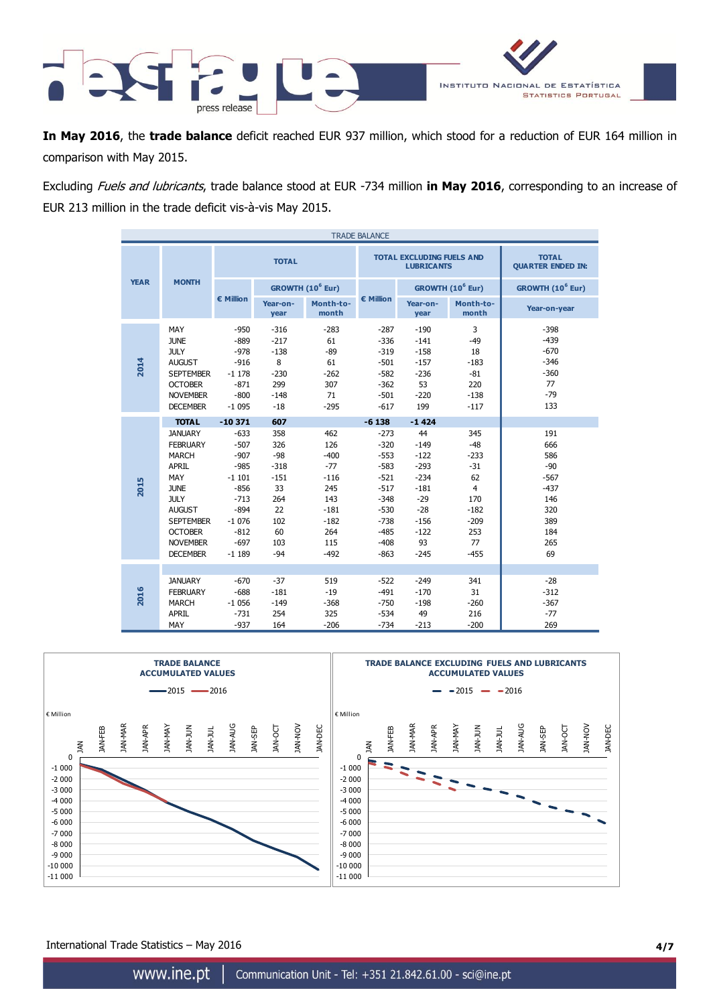

**In May 2016**, the **trade balance** deficit reached EUR 937 million, which stood for a reduction of EUR 164 million in comparison with May 2015.

Excluding Fuels and lubricants, trade balance stood at EUR -734 million **in May 2016**, corresponding to an increase of EUR 213 million in the trade deficit vis-à-vis May 2015.

| <b>TRADE BALANCE</b> |                                                                                                                                                                                              |                                                                                                                         |                                                                                         |                                                                                                   |                                                                                                                      |                                                                                                            |                                                                                                           |                                                                                         |  |
|----------------------|----------------------------------------------------------------------------------------------------------------------------------------------------------------------------------------------|-------------------------------------------------------------------------------------------------------------------------|-----------------------------------------------------------------------------------------|---------------------------------------------------------------------------------------------------|----------------------------------------------------------------------------------------------------------------------|------------------------------------------------------------------------------------------------------------|-----------------------------------------------------------------------------------------------------------|-----------------------------------------------------------------------------------------|--|
|                      |                                                                                                                                                                                              | <b>TOTAL</b>                                                                                                            |                                                                                         |                                                                                                   |                                                                                                                      | <b>TOTAL EXCLUDING FUELS AND</b><br><b>LUBRICANTS</b>                                                      | <b>TOTAL</b><br><b>QUARTER ENDED IN:</b>                                                                  |                                                                                         |  |
| <b>YEAR</b>          | <b>MONTH</b>                                                                                                                                                                                 |                                                                                                                         | GROWTH (10 <sup>6</sup> Eur)                                                            |                                                                                                   |                                                                                                                      |                                                                                                            | GROWTH (10 <sup>6</sup> Eur)                                                                              | GROWTH (10 <sup>6</sup> Eur)                                                            |  |
|                      |                                                                                                                                                                                              | € Million                                                                                                               | Year-on-<br>year                                                                        | Month-to-<br>month                                                                                | € Million                                                                                                            | Year-on-<br>year                                                                                           | Month-to-<br>month                                                                                        | Year-on-year                                                                            |  |
| 2014                 | MAY<br><b>JUNE</b><br><b>JULY</b><br><b>AUGUST</b><br><b>SEPTEMBER</b><br><b>OCTOBER</b><br><b>NOVEMBER</b><br><b>DECEMBER</b>                                                               | $-950$<br>$-889$<br>$-978$<br>$-916$<br>$-1178$<br>$-871$<br>$-800$<br>$-1095$                                          | $-316$<br>$-217$<br>$-138$<br>8<br>$-230$<br>299<br>$-148$<br>$-18$                     | $-283$<br>61<br>$-89$<br>61<br>$-262$<br>307<br>71<br>$-295$                                      | $-287$<br>$-336$<br>$-319$<br>$-501$<br>$-582$<br>$-362$<br>$-501$<br>$-617$                                         | $-190$<br>$-141$<br>$-158$<br>$-157$<br>$-236$<br>53<br>$-220$<br>199                                      | 3<br>$-49$<br>18<br>$-183$<br>$-81$<br>220<br>$-138$<br>$-117$                                            | $-398$<br>$-439$<br>$-670$<br>$-346$<br>$-360$<br>77<br>$-79$<br>133                    |  |
|                      | <b>TOTAL</b>                                                                                                                                                                                 | $-10371$                                                                                                                | 607                                                                                     |                                                                                                   | $-6138$                                                                                                              | $-1424$                                                                                                    |                                                                                                           |                                                                                         |  |
| 2015                 | <b>JANUARY</b><br><b>FEBRUARY</b><br><b>MARCH</b><br>APRIL<br>MAY<br><b>JUNE</b><br><b>JULY</b><br><b>AUGUST</b><br><b>SEPTEMBER</b><br><b>OCTOBER</b><br><b>NOVEMBER</b><br><b>DECEMBER</b> | $-633$<br>$-507$<br>$-907$<br>$-985$<br>$-1101$<br>$-856$<br>$-713$<br>$-894$<br>$-1076$<br>$-812$<br>$-697$<br>$-1189$ | 358<br>326<br>$-98$<br>$-318$<br>$-151$<br>33<br>264<br>22<br>102<br>60<br>103<br>$-94$ | 462<br>126<br>$-400$<br>$-77$<br>$-116$<br>245<br>143<br>$-181$<br>$-182$<br>264<br>115<br>$-492$ | $-273$<br>$-320$<br>$-553$<br>$-583$<br>$-521$<br>$-517$<br>$-348$<br>$-530$<br>$-738$<br>$-485$<br>$-408$<br>$-863$ | 44<br>$-149$<br>$-122$<br>$-293$<br>$-234$<br>$-181$<br>$-29$<br>$-28$<br>$-156$<br>$-122$<br>93<br>$-245$ | 345<br>$-48$<br>$-233$<br>$-31$<br>62<br>$\overline{4}$<br>170<br>$-182$<br>$-209$<br>253<br>77<br>$-455$ | 191<br>666<br>586<br>$-90$<br>$-567$<br>$-437$<br>146<br>320<br>389<br>184<br>265<br>69 |  |
| 2016                 | <b>JANUARY</b><br><b>FEBRUARY</b><br><b>MARCH</b><br><b>APRIL</b><br>MAY                                                                                                                     | $-670$<br>$-688$<br>$-1056$<br>$-731$<br>$-937$                                                                         | $-37$<br>$-181$<br>$-149$<br>254<br>164                                                 | 519<br>$-19$<br>$-368$<br>325<br>$-206$                                                           | $-522$<br>$-491$<br>$-750$<br>$-534$<br>$-734$                                                                       | $-249$<br>$-170$<br>$-198$<br>49<br>$-213$                                                                 | 341<br>31<br>$-260$<br>216<br>$-200$                                                                      | $-28$<br>$-312$<br>$-367$<br>$-77$<br>269                                               |  |



International Trade Statistics – May 2016 **4/7**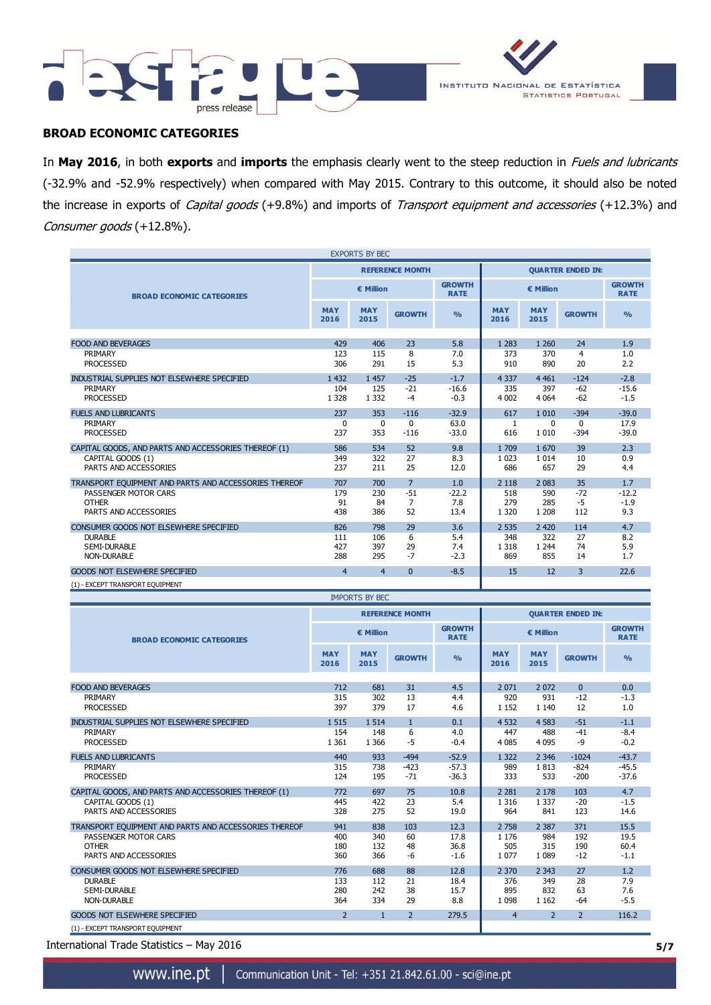



## **BROAD ECONOMIC CATEGORIES**

In **May 2016**, in both **exports** and **imports** the emphasis clearly went to the steep reduction in Fuels and lubricants (-32.9% and -52.9% respectively) when compared with May 2015. Contrary to this outcome, it should also be noted the increase in exports of Capital goods (+9.8%) and imports of Transport equipment and accessories (+12.3%) and Consumer goods (+12.8%).

| <b>EXPORTS BY BEC</b>                                 |                    |                    |                        |                              |                          |                    |               |                              |
|-------------------------------------------------------|--------------------|--------------------|------------------------|------------------------------|--------------------------|--------------------|---------------|------------------------------|
|                                                       |                    |                    | <b>REFERENCE MONTH</b> |                              | <b>QUARTER ENDED IN:</b> |                    |               |                              |
| <b>BROAD ECONOMIC CATEGORIES</b>                      |                    | € Million          |                        | <b>GROWTH</b><br><b>RATE</b> | € Million                |                    |               | <b>GROWTH</b><br><b>RATE</b> |
|                                                       | <b>MAY</b><br>2016 | <b>MAY</b><br>2015 | <b>GROWTH</b>          | $\frac{9}{6}$                | <b>MAY</b><br>2016       | <b>MAY</b><br>2015 | <b>GROWTH</b> | $\frac{0}{0}$                |
|                                                       |                    |                    |                        |                              |                          |                    |               |                              |
| <b>FOOD AND BEVERAGES</b>                             | 429                | 406                | 23                     | 5.8                          | 1 2 8 3                  | 1 2 6 0            | 24            | 1.9                          |
| PRIMARY                                               | 123                | 115                | 8                      | 7.0                          | 373                      | 370                | 4             | 1.0                          |
| <b>PROCESSED</b>                                      | 306                | 291                | 15                     | 5.3                          | 910                      | 890                | 20            | 2.2                          |
| INDUSTRIAL SUPPLIES NOT ELSEWHERE SPECIFIED           | 1 4 3 2            | 1 4 5 7            | $-25$                  | $-1.7$                       | 4 3 3 7                  | 4 4 6 1            | $-124$        | $-2.8$                       |
| PRIMARY                                               | 104                | 125                | $-21$                  | $-16.6$                      | 335                      | 397                | $-62$         | $-15.6$                      |
| <b>PROCESSED</b>                                      | 1 3 2 8            | 1 3 3 2            | $-4$                   | $-0.3$                       | 4 0 0 2                  | 4 0 64             | $-62$         | $-1.5$                       |
| <b>FUELS AND LUBRICANTS</b>                           | 237                | 353                | $-116$                 | $-32.9$                      | 617                      | 1 0 1 0            | $-394$        | $-39.0$                      |
| PRIMARY                                               | 0                  | 0                  | $\mathbf 0$            | 63.0                         | 1                        | 0                  | $\mathbf{0}$  | 17.9                         |
| <b>PROCESSED</b>                                      | 237                | 353                | $-116$                 | $-33.0$                      | 616                      | 1 0 1 0            | $-394$        | $-39.0$                      |
| CAPITAL GOODS, AND PARTS AND ACCESSORIES THEREOF (1)  | 586                | 534                | 52                     | 9.8                          | 1 709                    | 1670               | 39            | 2.3                          |
| CAPITAL GOODS (1)                                     | 349                | 322                | 27                     | 8.3                          | 1 0 2 3                  | 1 0 1 4            | 10            | 0.9                          |
| PARTS AND ACCESSORIES                                 | 237                | 211                | 25                     | 12.0                         | 686                      | 657                | 29            | 4.4                          |
| TRANSPORT EQUIPMENT AND PARTS AND ACCESSORIES THEREOF | 707                | 700                | $\overline{7}$         | 1.0                          | 2 1 1 8                  | 2 0 8 3            | 35            | 1.7                          |
| PASSENGER MOTOR CARS                                  | 179                | 230                | $-51$                  | $-22.2$                      | 518                      | 590                | $-72$         | $-12.2$                      |
| <b>OTHER</b>                                          | 91                 | 84                 | 7                      | 7.8                          | 279                      | 285                | $-5$          | $-1.9$                       |
| PARTS AND ACCESSORIES                                 | 438                | 386                | 52                     | 13.4                         | 1 3 2 0                  | 1 2 0 8            | 112           | 9.3                          |
| CONSUMER GOODS NOT ELSEWHERE SPECIFIED                | 826                | 798                | 29                     | 3.6                          | 2 5 3 5                  | 2 4 2 0            | 114           | 4.7                          |
| <b>DURABLE</b>                                        | 111                | 106                | 6                      | 5.4                          | 348                      | 322                | 27            | 8.2                          |
| <b>SEMI-DURABLE</b>                                   | 427                | 397                | 29                     | 7.4                          | 1 3 1 8                  | 1 2 4 4            | 74            | 5.9                          |
| <b>NON-DURABLE</b>                                    | 288                | 295                | $-7$                   | $-2.3$                       | 869                      | 855                | 14            | 1.7                          |
| <b>GOODS NOT ELSEWHERE SPECIFIED</b>                  | $\overline{4}$     | $\overline{4}$     | $\mathbf{0}$           | $-8.5$                       | 15                       | 12                 | 3             | 22.6                         |
| (1) - EXCEPT TRANSPORT EQUIPMENT                      |                    |                    |                        |                              |                          |                    |               |                              |

| <b>IMPORTS BY BEC</b>                                 |                    |                    |                        |                              |                          |                    |                |                              |
|-------------------------------------------------------|--------------------|--------------------|------------------------|------------------------------|--------------------------|--------------------|----------------|------------------------------|
|                                                       |                    |                    | <b>REFERENCE MONTH</b> |                              | <b>QUARTER ENDED IN:</b> |                    |                |                              |
| <b>BROAD ECONOMIC CATEGORIES</b>                      |                    | € Million          |                        | <b>GROWTH</b><br><b>RATE</b> | € Million                |                    |                | <b>GROWTH</b><br><b>RATE</b> |
|                                                       | <b>MAY</b><br>2016 | <b>MAY</b><br>2015 | <b>GROWTH</b>          | $\frac{9}{6}$                | <b>MAY</b><br>2016       | <b>MAY</b><br>2015 | <b>GROWTH</b>  | O <sub>0</sub>               |
|                                                       |                    |                    |                        |                              |                          |                    |                |                              |
| <b>FOOD AND BEVERAGES</b>                             | 712                | 681                | 31                     | 4.5                          | 2071                     | 2 0 7 2            | $\Omega$       | 0.0                          |
| PRIMARY                                               | 315                | 302                | 13                     | 4.4                          | 920                      | 931                | $-12$          | $-1.3$                       |
| <b>PROCESSED</b>                                      | 397                | 379                | 17                     | 4.6                          | 1 1 5 2                  | 1 1 4 0            | 12             | 1.0                          |
| INDUSTRIAL SUPPLIES NOT ELSEWHERE SPECIFIED           | 1 5 1 5            | 1 5 1 4            | $\mathbf{1}$           | 0.1                          | 4 5 32                   | 4 5 8 3            | $-51$          | $-1.1$                       |
| PRIMARY                                               | 154                | 148                | 6                      | 4.0                          | 447                      | 488                | $-41$          | $-8.4$                       |
| <b>PROCESSED</b>                                      | 1 3 6 1            | 1 3 6 6            | $-5$                   | $-0.4$                       | 4 0 8 5                  | 4 0 9 5            | $-9$           | $-0.2$                       |
| <b>FUELS AND LUBRICANTS</b>                           | 440                | 933                | $-494$                 | $-52.9$                      | 1 3 2 2                  | 2 3 4 6            | $-1024$        | $-43.7$                      |
| PRIMARY                                               | 315                | 738                | $-423$                 | $-57.3$                      | 989                      | 1813               | $-824$         | $-45.5$                      |
| <b>PROCESSED</b>                                      | 124                | 195                | $-71$                  | $-36.3$                      | 333                      | 533                | $-200$         | $-37.6$                      |
| CAPITAL GOODS, AND PARTS AND ACCESSORIES THEREOF (1)  | 772                | 697                | 75                     | 10.8                         | 2 2 8 1                  | 2 1 7 8            | 103            | 4.7                          |
| CAPITAL GOODS (1)                                     | 445                | 422                | 23                     | 5.4                          | 1 3 1 6                  | 1 3 3 7            | $-20$          | $-1.5$                       |
| PARTS AND ACCESSORIES                                 | 328                | 275                | 52                     | 19.0                         | 964                      | 841                | 123            | 14.6                         |
| TRANSPORT EQUIPMENT AND PARTS AND ACCESSORIES THEREOF | 941                | 838                | 103                    | 12.3                         | 2 7 5 8                  | 2 3 8 7            | 371            | 15.5                         |
| PASSENGER MOTOR CARS                                  | 400                | 340                | 60                     | 17.8                         | 1 1 7 6                  | 984                | 192            | 19.5                         |
| <b>OTHER</b>                                          | 180                | 132                | 48                     | 36.8                         | 505                      | 315                | 190            | 60.4                         |
| PARTS AND ACCESSORIES                                 | 360                | 366                | -6                     | $-1.6$                       | 1077                     | 1 0 8 9            | $-12$          | $-1.1$                       |
| CONSUMER GOODS NOT ELSEWHERE SPECIFIED                | 776                | 688                | 88                     | 12.8                         | 2 3 7 0                  | 2 3 4 3            | 27             | 1.2                          |
| <b>DURABLE</b>                                        | 133                | 112                | 21                     | 18.4                         | 376                      | 349                | 28             | 7.9                          |
| <b>SEMI-DURABLE</b>                                   | 280                | 242                | 38                     | 15.7                         | 895                      | 832                | 63             | 7.6                          |
| <b>NON-DURABLE</b>                                    | 364                | 334                | 29                     | 8.8                          | 1 0 9 8                  | 1 1 6 2            | $-64$          | $-5.5$                       |
| <b>GOODS NOT ELSEWHERE SPECIFIED</b>                  | $\overline{2}$     | $\mathbf{1}$       | $\overline{2}$         | 279.5                        | $\overline{4}$           | $\overline{2}$     | $\overline{2}$ | 116.2                        |
| (1) - EXCEPT TRANSPORT EQUIPMENT                      |                    |                    |                        |                              |                          |                    |                |                              |

International Trade Statistics – May 2016 **5/7**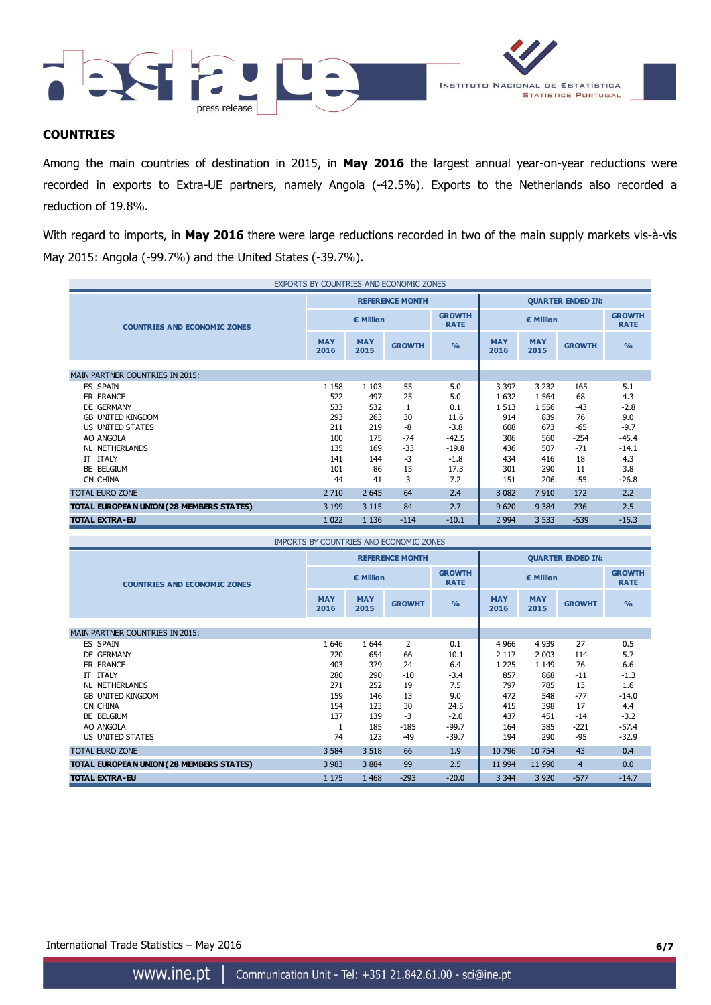



## **COUNTRIES**

Among the main countries of destination in 2015, in **May 2016** the largest annual year-on-year reductions were recorded in exports to Extra-UE partners, namely Angola (-42.5%). Exports to the Netherlands also recorded a reduction of 19.8%.

With regard to imports, in **May 2016** there were large reductions recorded in two of the main supply markets vis-à-vis May 2015: Angola (-99.7%) and the United States (-39.7%).

| EXPORTS BY COUNTRIES AND ECONOMIC ZONES  |                    |                    |                        |                              |                          |                    |               |                              |
|------------------------------------------|--------------------|--------------------|------------------------|------------------------------|--------------------------|--------------------|---------------|------------------------------|
|                                          |                    |                    | <b>REFERENCE MONTH</b> |                              | <b>QUARTER ENDED IN:</b> |                    |               |                              |
| <b>COUNTRIES AND ECONOMIC ZONES</b>      | € Million          |                    |                        | <b>GROWTH</b><br><b>RATE</b> | € Million                |                    |               | <b>GROWTH</b><br><b>RATE</b> |
|                                          | <b>MAY</b><br>2016 | <b>MAY</b><br>2015 | <b>GROWTH</b>          | O <sub>0</sub>               | <b>MAY</b><br>2016       | <b>MAY</b><br>2015 | <b>GROWTH</b> | O <sub>0</sub>               |
|                                          |                    |                    |                        |                              |                          |                    |               |                              |
| <b>MAIN PARTNER COUNTRIES IN 2015:</b>   |                    |                    |                        |                              |                          |                    |               |                              |
| <b>ES SPAIN</b>                          | 1 1 5 8            | 1 1 0 3            | 55                     | 5.0                          | 3 3 9 7                  | 3 2 3 2            | 165           | 5.1                          |
| FR FRANCE                                | 522                | 497                | 25                     | 5.0                          | 1 6 3 2                  | 1 5 6 4            | 68            | 4.3                          |
| DE GERMANY                               | 533                | 532                | $\mathbf{1}$           | 0.1                          | 1 5 1 3                  | 1 5 5 6            | $-43$         | $-2.8$                       |
| <b>GB UNITED KINGDOM</b>                 | 293                | 263                | 30                     | 11.6                         | 914                      | 839                | 76            | 9.0                          |
| US UNITED STATES                         | 211                | 219                | -8                     | $-3.8$                       | 608                      | 673                | $-65$         | $-9.7$                       |
| AO ANGOLA                                | 100                | 175                | -74                    | $-42.5$                      | 306                      | 560                | $-254$        | $-45.4$                      |
| <b>NL NETHERLANDS</b>                    | 135                | 169                | $-33$                  | $-19.8$                      | 436                      | 507                | $-71$         | $-14.1$                      |
| <b>IT ITALY</b>                          | 141                | 144                | $-3$                   | $-1.8$                       | 434                      | 416                | 18            | 4.3                          |
| BE BELGIUM                               | 101                | 86                 | 15                     | 17.3                         | 301                      | 290                | 11            | 3.8                          |
| CN CHINA                                 | 44                 | 41                 | 3                      | 7.2                          | 151                      | 206                | -55           | $-26.8$                      |
| <b>TOTAL EURO ZONE</b>                   | 2 7 10             | 2 6 4 5            | 64                     | 2.4                          | 8 0 8 2                  | 7910               | 172           | 2.2                          |
| TOTAL EUROPEAN UNION (28 MEMBERS STATES) | 3 1 9 9            | 3 1 1 5            | 84                     | 2.7                          | 9 6 20                   | 9 3 8 4            | 236           | 2.5                          |
| <b>TOTAL EXTRA-EU</b>                    | 1 0 2 2            | 1 1 3 6            | $-114$                 | $-10.1$                      | 2 9 9 4                  | 3 5 3 3            | $-539$        | $-15.3$                      |

| <b>IMPORTS BY COUNTRIES AND ECONOMIC ZONES</b> |                    |                    |                        |                              |                          |                    |                |                              |
|------------------------------------------------|--------------------|--------------------|------------------------|------------------------------|--------------------------|--------------------|----------------|------------------------------|
|                                                |                    |                    | <b>REFERENCE MONTH</b> |                              | <b>QUARTER ENDED IN:</b> |                    |                |                              |
| <b>COUNTRIES AND ECONOMIC ZONES</b>            | € Million          |                    |                        | <b>GROWTH</b><br><b>RATE</b> | € Million                |                    |                | <b>GROWTH</b><br><b>RATE</b> |
|                                                | <b>MAY</b><br>2016 | <b>MAY</b><br>2015 | <b>GROWHT</b>          | $\frac{9}{6}$                | <b>MAY</b><br>2016       | <b>MAY</b><br>2015 | <b>GROWHT</b>  | $\frac{9}{0}$                |
| <b>MAIN PARTNER COUNTRIES IN 2015:</b>         |                    |                    |                        |                              |                          |                    |                |                              |
| <b>ES SPAIN</b>                                | 1646               | 1 6 4 4            | 2                      | 0.1                          | 4 9 6 6                  | 4 9 3 9            | 27             | 0.5                          |
| <b>DE GERMANY</b>                              | 720                | 654                | 66                     | 10.1                         | 2 1 1 7                  | 2 0 0 3            | 114            | 5.7                          |
| FR FRANCE                                      | 403                | 379                | 24                     | 6.4                          | 1 2 2 5                  | 1 1 4 9            | 76             | 6.6                          |
| <b>IT ITALY</b>                                | 280                | 290                | $-10$                  | $-3.4$                       | 857                      | 868                | $-11$          | $-1.3$                       |
| NL NETHERLANDS                                 | 271                | 252                | 19                     | 7.5                          | 797                      | 785                | 13             | 1.6                          |
| <b>GB UNITED KINGDOM</b>                       | 159                | 146                | 13                     | 9.0                          | 472                      | 548                | $-77$          | $-14.0$                      |
| CN CHINA                                       | 154                | 123                | 30                     | 24.5                         | 415                      | 398                | 17             | 4.4                          |
| BE BELGIUM                                     | 137                | 139                | $-3$                   | $-2.0$                       | 437                      | 451                | $-14$          | $-3.2$                       |
| AO ANGOLA                                      |                    | 185                | $-185$                 | $-99.7$                      | 164                      | 385                | $-221$         | $-57.4$                      |
| US UNITED STATES                               | 74                 | 123                | $-49$                  | $-39.7$                      | 194                      | 290                | $-95$          | $-32.9$                      |
| <b>TOTAL EURO ZONE</b>                         | 3 5 8 4            | 3 5 18             | 66                     | 1.9                          | 10 796                   | 10 754             | 43             | 0.4                          |
| TOTAL EUROPEAN UNION (28 MEMBERS STATES)       | 3 9 8 3            | 3884               | 99                     | 2.5                          | 11 9 94                  | 11 990             | $\overline{4}$ | 0.0                          |
| <b>TOTAL EXTRA-EU</b>                          | 1 1 7 5            | 1 4 6 8            | $-293$                 | $-20.0$                      | 3 3 4 4                  | 3 9 20             | $-577$         | $-14.7$                      |